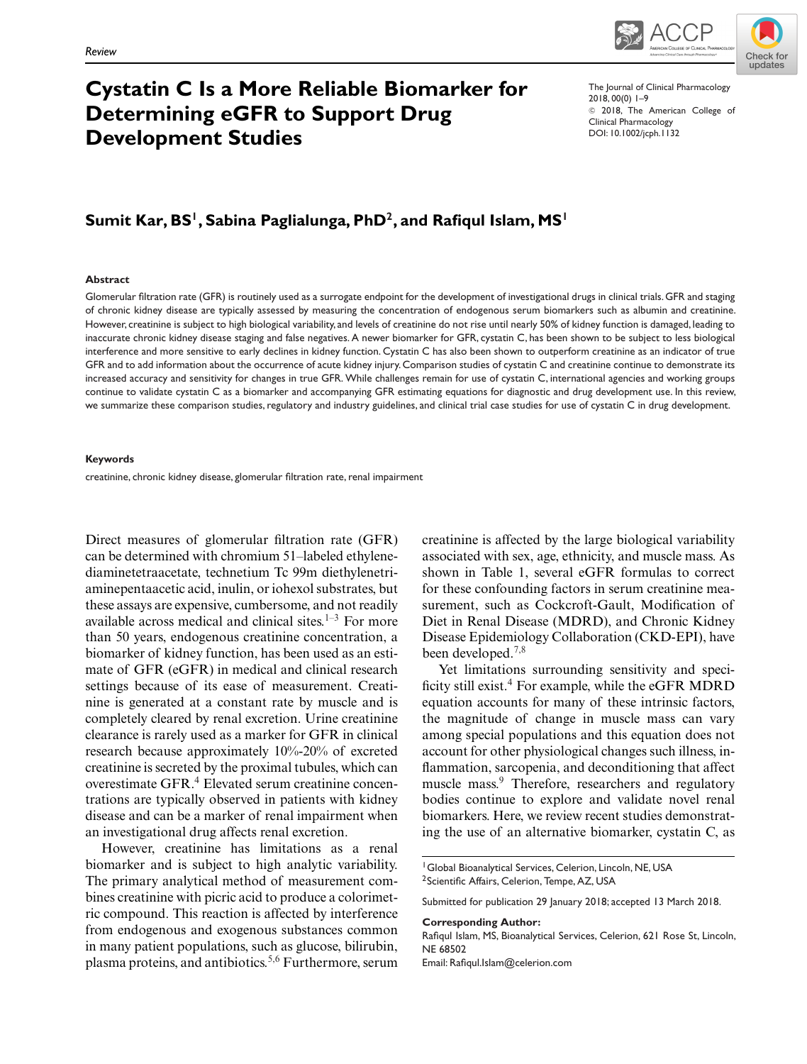



# **Cystatin C Is a More Reliable Biomarker for Determining eGFR to Support Drug Development Studies**

The Journal of Clinical Pharmacology 2018, 00(0) 1–9  $©$  2018, The American College of Clinical Pharmacology DOI: 10.1002/jcph.1132

# Sumit Kar, BS<sup>1</sup>, Sabina Paglialunga, PhD<sup>2</sup>, and Rafiqul Islam, MS<sup>1</sup>

#### **Abstract**

Glomerular filtration rate (GFR) is routinely used as a surrogate endpoint for the development of investigational drugs in clinical trials. GFR and staging of chronic kidney disease are typically assessed by measuring the concentration of endogenous serum biomarkers such as albumin and creatinine. However, creatinine is subject to high biological variability, and levels of creatinine do not rise until nearly 50% of kidney function is damaged, leading to inaccurate chronic kidney disease staging and false negatives. A newer biomarker for GFR, cystatin C, has been shown to be subject to less biological interference and more sensitive to early declines in kidney function. Cystatin C has also been shown to outperform creatinine as an indicator of true GFR and to add information about the occurrence of acute kidney injury. Comparison studies of cystatin C and creatinine continue to demonstrate its increased accuracy and sensitivity for changes in true GFR. While challenges remain for use of cystatin C, international agencies and working groups continue to validate cystatin C as a biomarker and accompanying GFR estimating equations for diagnostic and drug development use. In this review, we summarize these comparison studies, regulatory and industry guidelines, and clinical trial case studies for use of cystatin C in drug development.

#### **Keywords**

creatinine, chronic kidney disease, glomerular filtration rate, renal impairment

Direct measures of glomerular filtration rate (GFR) can be determined with chromium 51–labeled ethylenediaminetetraacetate, technetium Tc 99m diethylenetriaminepentaacetic acid, inulin, or iohexol substrates, but these assays are expensive, cumbersome, and not readily available across medical and clinical sites. $1-3$  For more than 50 years, endogenous creatinine concentration, a biomarker of kidney function, has been used as an estimate of GFR (eGFR) in medical and clinical research settings because of its ease of measurement. Creatinine is generated at a constant rate by muscle and is completely cleared by renal excretion. Urine creatinine clearance is rarely used as a marker for GFR in clinical research because approximately 10%-20% of excreted creatinine is secreted by the proximal tubules, which can overestimate GFR.<sup>4</sup> Elevated serum creatinine concentrations are typically observed in patients with kidney disease and can be a marker of renal impairment when an investigational drug affects renal excretion.

However, creatinine has limitations as a renal biomarker and is subject to high analytic variability. The primary analytical method of measurement combines creatinine with picric acid to produce a colorimetric compound. This reaction is affected by interference from endogenous and exogenous substances common in many patient populations, such as glucose, bilirubin, plasma proteins, and antibiotics.<sup>5,6</sup> Furthermore, serum creatinine is affected by the large biological variability associated with sex, age, ethnicity, and muscle mass. As shown in Table 1, several eGFR formulas to correct for these confounding factors in serum creatinine measurement, such as Cockcroft-Gault, Modification of Diet in Renal Disease (MDRD), and Chronic Kidney Disease Epidemiology Collaboration (CKD-EPI), have been developed.<sup>7,8</sup>

Yet limitations surrounding sensitivity and specificity still exist.<sup>4</sup> For example, while the eGFR MDRD equation accounts for many of these intrinsic factors, the magnitude of change in muscle mass can vary among special populations and this equation does not account for other physiological changes such illness, inflammation, sarcopenia, and deconditioning that affect muscle mass.<sup>9</sup> Therefore, researchers and regulatory bodies continue to explore and validate novel renal biomarkers. Here, we review recent studies demonstrating the use of an alternative biomarker, cystatin C, as

#### **Corresponding Author:**

Rafiqul Islam, MS, Bioanalytical Services, Celerion, 621 Rose St, Lincoln, NE 68502

Email: Rafiqul.Islam@celerion.com

<sup>&</sup>lt;sup>1</sup> Global Bioanalytical Services, Celerion, Lincoln, NE, USA <sup>2</sup> Scientific Affairs, Celerion, Tempe, AZ, USA

Submitted for publication 29 January 2018; accepted 13 March 2018.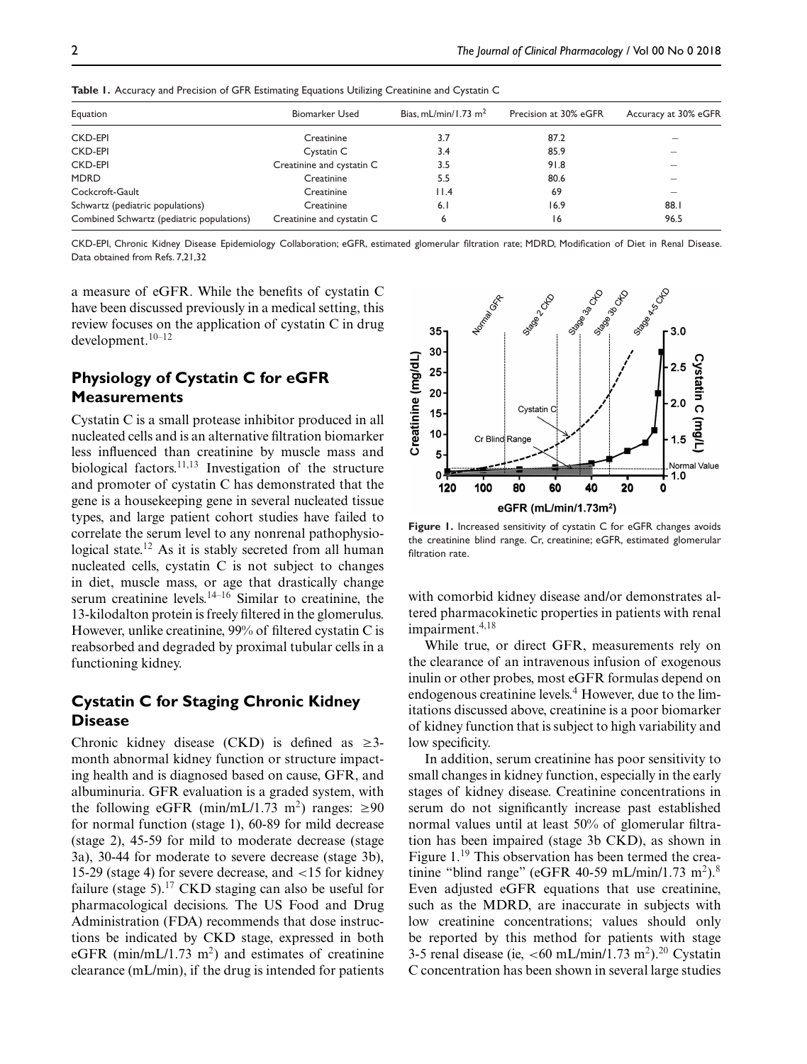| Equation                                  | <b>Biomarker Used</b>     | Bias, mL/min/1.73 $m2$ | Precision at 30% eGFR | Accuracy at 30% eGFR |
|-------------------------------------------|---------------------------|------------------------|-----------------------|----------------------|
| <b>CKD-EPI</b>                            | Creatinine                | 3.7                    | 87.2                  |                      |
| <b>CKD-EPI</b>                            | Cystatin C                | 3.4                    | 85.9                  |                      |
| <b>CKD-EPI</b>                            | Creatinine and cystatin C | 3.5                    | 91.8                  |                      |
| <b>MDRD</b>                               | Creatinine                | 5.5                    | 80.6                  |                      |
| Cockcroft-Gault                           | Creatinine                | 11.4                   | 69                    |                      |
| Schwartz (pediatric populations)          | Creatinine                | 6.1                    | 16.9                  | 88.1                 |
| Combined Schwartz (pediatric populations) | Creatinine and cystatin C | 6                      | 16                    | 96.5                 |

**Table 1.** Accuracy and Precision of GFR Estimating Equations Utilizing Creatinine and Cystatin C

CKD-EPI, Chronic Kidney Disease Epidemiology Collaboration; eGFR, estimated glomerular filtration rate; MDRD, Modification of Diet in Renal Disease. Data obtained from Refs. 7,21,32

a measure of eGFR. While the benefits of cystatin C have been discussed previously in a medical setting, this review focuses on the application of cystatin C in drug development.10–12

## **Physiology of Cystatin C for eGFR Measurements**

Cystatin C is a small protease inhibitor produced in all nucleated cells and is an alternative filtration biomarker less influenced than creatinine by muscle mass and biological factors.<sup>11,13</sup> Investigation of the structure and promoter of cystatin C has demonstrated that the gene is a housekeeping gene in several nucleated tissue types, and large patient cohort studies have failed to correlate the serum level to any nonrenal pathophysiological state.<sup>12</sup> As it is stably secreted from all human nucleated cells, cystatin C is not subject to changes in diet, muscle mass, or age that drastically change serum creatinine levels. $14-16$  Similar to creatinine, the 13-kilodalton protein is freely filtered in the glomerulus. However, unlike creatinine, 99% of filtered cystatin C is reabsorbed and degraded by proximal tubular cells in a functioning kidney.

### **Cystatin C for Staging Chronic Kidney Disease**

Chronic kidney disease (CKD) is defined as  $\geq$ 3month abnormal kidney function or structure impacting health and is diagnosed based on cause, GFR, and albuminuria. GFR evaluation is a graded system, with the following eGFR (min/mL/1.73 m<sup>2</sup>) ranges:  $\geq 90$ for normal function (stage 1), 60-89 for mild decrease (stage 2), 45-59 for mild to moderate decrease (stage 3a), 30-44 for moderate to severe decrease (stage 3b), 15-29 (stage 4) for severe decrease, and <15 for kidney failure (stage 5).<sup>17</sup> CKD staging can also be useful for pharmacological decisions. The US Food and Drug Administration (FDA) recommends that dose instructions be indicated by CKD stage, expressed in both eGFR (min/mL/1.73 m<sup>2</sup>) and estimates of creatinine clearance (mL/min), if the drug is intended for patients



**Figure 1.** Increased sensitivity of cystatin C for eGFR changes avoids the creatinine blind range. Cr, creatinine; eGFR, estimated glomerular filtration rate.

with comorbid kidney disease and/or demonstrates altered pharmacokinetic properties in patients with renal impairment.<sup>4,18</sup>

While true, or direct GFR, measurements rely on the clearance of an intravenous infusion of exogenous inulin or other probes, most eGFR formulas depend on endogenous creatinine levels.<sup>4</sup> However, due to the limitations discussed above, creatinine is a poor biomarker of kidney function that is subject to high variability and low specificity.

In addition, serum creatinine has poor sensitivity to small changes in kidney function, especially in the early stages of kidney disease. Creatinine concentrations in serum do not significantly increase past established normal values until at least 50% of glomerular filtration has been impaired (stage 3b CKD), as shown in Figure  $1.^{19}$  This observation has been termed the creatinine "blind range" (eGFR 40-59 mL/min/1.73 m<sup>2</sup>).<sup>8</sup> Even adjusted eGFR equations that use creatinine, such as the MDRD, are inaccurate in subjects with low creatinine concentrations; values should only be reported by this method for patients with stage 3-5 renal disease (ie,  $<60$  mL/min/1.73 m<sup>2</sup>).<sup>20</sup> Cystatin C concentration has been shown in several large studies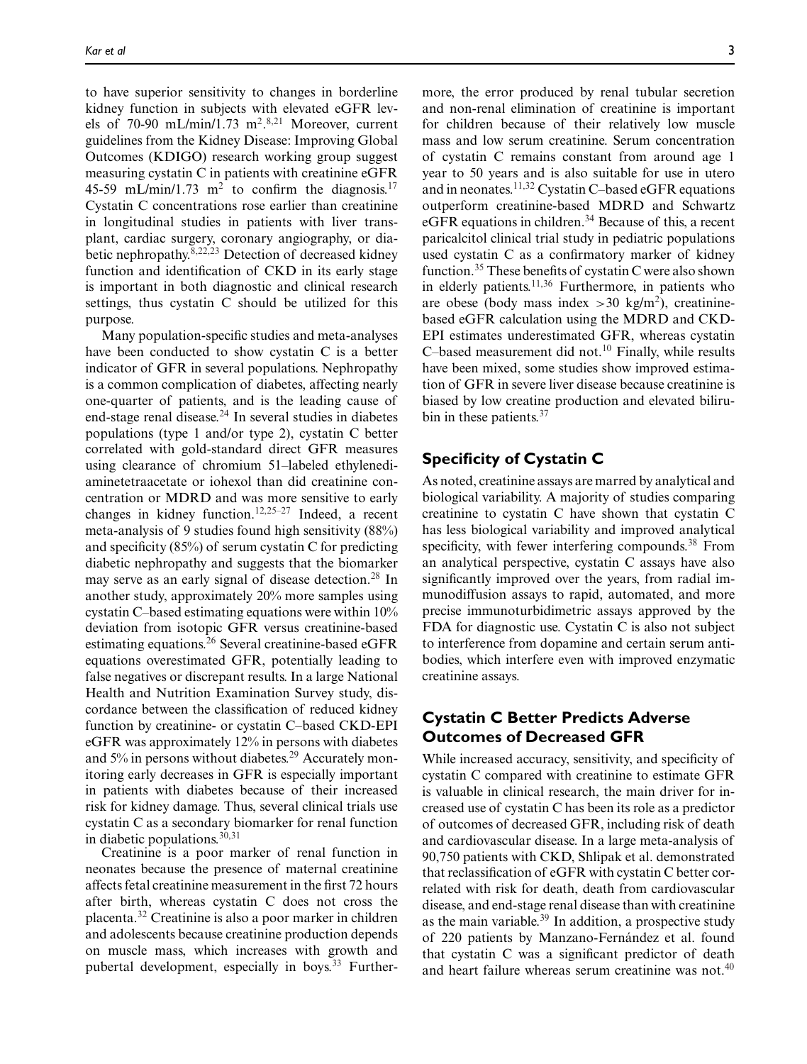to have superior sensitivity to changes in borderline kidney function in subjects with elevated eGFR levels of 70-90 mL/min/1.73 m<sup>2</sup>.<sup>8,21</sup> Moreover, current guidelines from the Kidney Disease: Improving Global Outcomes (KDIGO) research working group suggest measuring cystatin C in patients with creatinine eGFR 45-59 mL/min/1.73 m<sup>2</sup> to confirm the diagnosis.<sup>17</sup> Cystatin C concentrations rose earlier than creatinine in longitudinal studies in patients with liver transplant, cardiac surgery, coronary angiography, or diabetic nephropathy. $8,22,23$  Detection of decreased kidney function and identification of CKD in its early stage is important in both diagnostic and clinical research settings, thus cystatin C should be utilized for this purpose.

Many population-specific studies and meta-analyses have been conducted to show cystatin C is a better indicator of GFR in several populations. Nephropathy is a common complication of diabetes, affecting nearly one-quarter of patients, and is the leading cause of end-stage renal disease.<sup>24</sup> In several studies in diabetes populations (type 1 and/or type 2), cystatin C better correlated with gold-standard direct GFR measures using clearance of chromium 51–labeled ethylenediaminetetraacetate or iohexol than did creatinine concentration or MDRD and was more sensitive to early changes in kidney function.<sup>12,25–27</sup> Indeed, a recent meta-analysis of 9 studies found high sensitivity (88%) and specificity  $(85\%)$  of serum cystatin C for predicting diabetic nephropathy and suggests that the biomarker may serve as an early signal of disease detection.<sup>28</sup> In another study, approximately 20% more samples using cystatin C–based estimating equations were within 10% deviation from isotopic GFR versus creatinine-based estimating equations.<sup>26</sup> Several creatinine-based eGFR equations overestimated GFR, potentially leading to false negatives or discrepant results. In a large National Health and Nutrition Examination Survey study, discordance between the classification of reduced kidney function by creatinine- or cystatin C–based CKD-EPI eGFR was approximately 12% in persons with diabetes and  $5\%$  in persons without diabetes.<sup>29</sup> Accurately monitoring early decreases in GFR is especially important in patients with diabetes because of their increased risk for kidney damage. Thus, several clinical trials use cystatin C as a secondary biomarker for renal function in diabetic populations.  $30,31$ 

Creatinine is a poor marker of renal function in neonates because the presence of maternal creatinine affects fetal creatinine measurement in the first 72 hours after birth, whereas cystatin C does not cross the placenta.32 Creatinine is also a poor marker in children and adolescents because creatinine production depends on muscle mass, which increases with growth and pubertal development, especially in boys.<sup>33</sup> Furthermore, the error produced by renal tubular secretion and non-renal elimination of creatinine is important for children because of their relatively low muscle mass and low serum creatinine. Serum concentration of cystatin C remains constant from around age 1 year to 50 years and is also suitable for use in utero and in neonates.<sup>11,32</sup> Cystatin C–based eGFR equations outperform creatinine-based MDRD and Schwartz eGFR equations in children.<sup>34</sup> Because of this, a recent paricalcitol clinical trial study in pediatric populations used cystatin C as a confirmatory marker of kidney function.35 These benefits of cystatin C were also shown in elderly patients.<sup>11,36</sup> Furthermore, in patients who are obese (body mass index  $>30 \text{ kg/m}^2$ ), creatininebased eGFR calculation using the MDRD and CKD-EPI estimates underestimated GFR, whereas cystatin C–based measurement did not. $10$  Finally, while results have been mixed, some studies show improved estimation of GFR in severe liver disease because creatinine is biased by low creatine production and elevated bilirubin in these patients.<sup>37</sup>

#### **Specificity of Cystatin C**

As noted, creatinine assays are marred by analytical and biological variability. A majority of studies comparing creatinine to cystatin C have shown that cystatin C has less biological variability and improved analytical specificity, with fewer interfering compounds.<sup>38</sup> From an analytical perspective, cystatin C assays have also significantly improved over the years, from radial immunodiffusion assays to rapid, automated, and more precise immunoturbidimetric assays approved by the FDA for diagnostic use. Cystatin C is also not subject to interference from dopamine and certain serum antibodies, which interfere even with improved enzymatic creatinine assays.

### **Cystatin C Better Predicts Adverse Outcomes of Decreased GFR**

While increased accuracy, sensitivity, and specificity of cystatin C compared with creatinine to estimate GFR is valuable in clinical research, the main driver for increased use of cystatin C has been its role as a predictor of outcomes of decreased GFR, including risk of death and cardiovascular disease. In a large meta-analysis of 90,750 patients with CKD, Shlipak et al. demonstrated that reclassification of eGFR with cystatin C better correlated with risk for death, death from cardiovascular disease, and end-stage renal disease than with creatinine as the main variable.<sup>39</sup> In addition, a prospective study of 220 patients by Manzano-Fernández et al. found that cystatin C was a significant predictor of death and heart failure whereas serum creatinine was not.<sup>40</sup>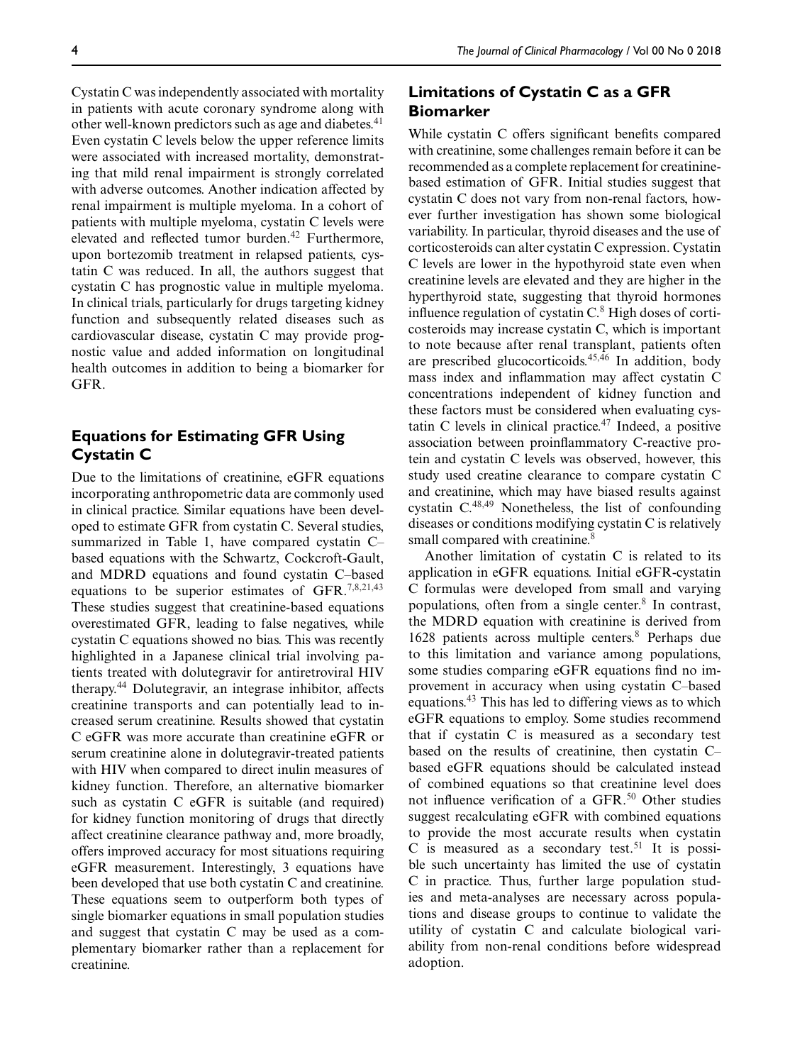Cystatin C was independently associated with mortality in patients with acute coronary syndrome along with other well-known predictors such as age and diabetes.<sup>41</sup> Even cystatin C levels below the upper reference limits were associated with increased mortality, demonstrating that mild renal impairment is strongly correlated with adverse outcomes. Another indication affected by renal impairment is multiple myeloma. In a cohort of patients with multiple myeloma, cystatin C levels were elevated and reflected tumor burden.42 Furthermore, upon bortezomib treatment in relapsed patients, cystatin C was reduced. In all, the authors suggest that cystatin C has prognostic value in multiple myeloma. In clinical trials, particularly for drugs targeting kidney function and subsequently related diseases such as cardiovascular disease, cystatin C may provide prognostic value and added information on longitudinal health outcomes in addition to being a biomarker for GFR.

# **Equations for Estimating GFR Using Cystatin C**

Due to the limitations of creatinine, eGFR equations incorporating anthropometric data are commonly used in clinical practice. Similar equations have been developed to estimate GFR from cystatin C. Several studies, summarized in Table 1, have compared cystatin C– based equations with the Schwartz, Cockcroft-Gault, and MDRD equations and found cystatin C–based equations to be superior estimates of GFR.<sup>7,8,21,43</sup> These studies suggest that creatinine-based equations overestimated GFR, leading to false negatives, while cystatin C equations showed no bias. This was recently highlighted in a Japanese clinical trial involving patients treated with dolutegravir for antiretroviral HIV therapy.<sup>44</sup> Dolutegravir, an integrase inhibitor, affects creatinine transports and can potentially lead to increased serum creatinine. Results showed that cystatin C eGFR was more accurate than creatinine eGFR or serum creatinine alone in dolutegravir-treated patients with HIV when compared to direct inulin measures of kidney function. Therefore, an alternative biomarker such as cystatin C eGFR is suitable (and required) for kidney function monitoring of drugs that directly affect creatinine clearance pathway and, more broadly, offers improved accuracy for most situations requiring eGFR measurement. Interestingly, 3 equations have been developed that use both cystatin C and creatinine. These equations seem to outperform both types of single biomarker equations in small population studies and suggest that cystatin C may be used as a complementary biomarker rather than a replacement for creatinine.

# **Limitations of Cystatin C as a GFR Biomarker**

While cystatin C offers significant benefits compared with creatinine, some challenges remain before it can be recommended as a complete replacement for creatininebased estimation of GFR. Initial studies suggest that cystatin C does not vary from non-renal factors, however further investigation has shown some biological variability. In particular, thyroid diseases and the use of corticosteroids can alter cystatin C expression. Cystatin C levels are lower in the hypothyroid state even when creatinine levels are elevated and they are higher in the hyperthyroid state, suggesting that thyroid hormones influence regulation of cystatin  $C<sup>8</sup>$  High doses of corticosteroids may increase cystatin C, which is important to note because after renal transplant, patients often are prescribed glucocorticoids. $45,46$  In addition, body mass index and inflammation may affect cystatin C concentrations independent of kidney function and these factors must be considered when evaluating cystatin C levels in clinical practice. $47$  Indeed, a positive association between proinflammatory C-reactive protein and cystatin C levels was observed, however, this study used creatine clearance to compare cystatin C and creatinine, which may have biased results against cystatin C.48,49 Nonetheless, the list of confounding diseases or conditions modifying cystatin C is relatively small compared with creatinine.<sup>8</sup>

Another limitation of cystatin C is related to its application in eGFR equations. Initial eGFR-cystatin C formulas were developed from small and varying populations, often from a single center.<sup>8</sup> In contrast, the MDRD equation with creatinine is derived from 1628 patients across multiple centers.<sup>8</sup> Perhaps due to this limitation and variance among populations, some studies comparing eGFR equations find no improvement in accuracy when using cystatin C–based equations.43 This has led to differing views as to which eGFR equations to employ. Some studies recommend that if cystatin C is measured as a secondary test based on the results of creatinine, then cystatin C– based eGFR equations should be calculated instead of combined equations so that creatinine level does not influence verification of a GFR.<sup>50</sup> Other studies suggest recalculating eGFR with combined equations to provide the most accurate results when cystatin C is measured as a secondary test.<sup>51</sup> It is possible such uncertainty has limited the use of cystatin C in practice. Thus, further large population studies and meta-analyses are necessary across populations and disease groups to continue to validate the utility of cystatin C and calculate biological variability from non-renal conditions before widespread adoption.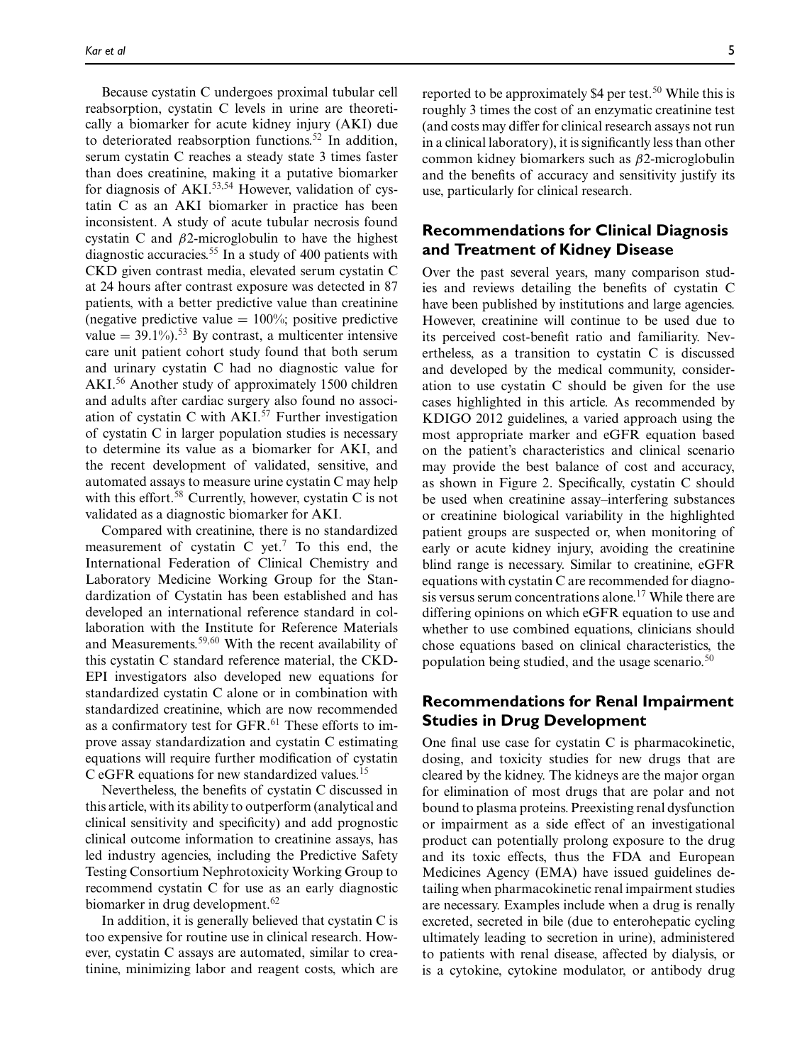Because cystatin C undergoes proximal tubular cell reabsorption, cystatin C levels in urine are theoretically a biomarker for acute kidney injury (AKI) due to deteriorated reabsorption functions.<sup>52</sup> In addition, serum cystatin C reaches a steady state 3 times faster than does creatinine, making it a putative biomarker for diagnosis of  $AKI$ <sup>53,54</sup> However, validation of cystatin C as an AKI biomarker in practice has been inconsistent. A study of acute tubular necrosis found cystatin C and  $\beta$ 2-microglobulin to have the highest diagnostic accuracies.<sup>55</sup> In a study of 400 patients with CKD given contrast media, elevated serum cystatin C at 24 hours after contrast exposure was detected in 87 patients, with a better predictive value than creatinine (negative predictive value  $= 100\%$ ; positive predictive value =  $39.1\%$ ).<sup>53</sup> By contrast, a multicenter intensive care unit patient cohort study found that both serum and urinary cystatin C had no diagnostic value for AKI.<sup>56</sup> Another study of approximately 1500 children and adults after cardiac surgery also found no association of cystatin C with  $AKI$ .<sup>57</sup> Further investigation of cystatin C in larger population studies is necessary to determine its value as a biomarker for AKI, and the recent development of validated, sensitive, and automated assays to measure urine cystatin C may help with this effort. $58$  Currently, however, cystatin C is not validated as a diagnostic biomarker for AKI.

Compared with creatinine, there is no standardized measurement of cystatin C yet.<sup>7</sup> To this end, the International Federation of Clinical Chemistry and Laboratory Medicine Working Group for the Standardization of Cystatin has been established and has developed an international reference standard in collaboration with the Institute for Reference Materials and Measurements.<sup>59,60</sup> With the recent availability of this cystatin C standard reference material, the CKD-EPI investigators also developed new equations for standardized cystatin C alone or in combination with standardized creatinine, which are now recommended as a confirmatory test for  $GFR$ .<sup>61</sup> These efforts to improve assay standardization and cystatin C estimating equations will require further modification of cystatin C eGFR equations for new standardized values.<sup>15</sup>

Nevertheless, the benefits of cystatin C discussed in this article, with its ability to outperform (analytical and clinical sensitivity and specificity) and add prognostic clinical outcome information to creatinine assays, has led industry agencies, including the Predictive Safety Testing Consortium Nephrotoxicity Working Group to recommend cystatin C for use as an early diagnostic biomarker in drug development.<sup>62</sup>

In addition, it is generally believed that cystatin C is too expensive for routine use in clinical research. However, cystatin C assays are automated, similar to creatinine, minimizing labor and reagent costs, which are

reported to be approximately \$4 per test.<sup>50</sup> While this is roughly 3 times the cost of an enzymatic creatinine test (and costs may differ for clinical research assays not run in a clinical laboratory), it is significantly less than other common kidney biomarkers such as β2-microglobulin and the benefits of accuracy and sensitivity justify its use, particularly for clinical research.

### **Recommendations for Clinical Diagnosis and Treatment of Kidney Disease**

Over the past several years, many comparison studies and reviews detailing the benefits of cystatin C have been published by institutions and large agencies. However, creatinine will continue to be used due to its perceived cost-benefit ratio and familiarity. Nevertheless, as a transition to cystatin C is discussed and developed by the medical community, consideration to use cystatin C should be given for the use cases highlighted in this article. As recommended by KDIGO 2012 guidelines, a varied approach using the most appropriate marker and eGFR equation based on the patient's characteristics and clinical scenario may provide the best balance of cost and accuracy, as shown in Figure 2. Specifically, cystatin C should be used when creatinine assay–interfering substances or creatinine biological variability in the highlighted patient groups are suspected or, when monitoring of early or acute kidney injury, avoiding the creatinine blind range is necessary. Similar to creatinine, eGFR equations with cystatin C are recommended for diagnosis versus serum concentrations alone.17 While there are differing opinions on which eGFR equation to use and whether to use combined equations, clinicians should chose equations based on clinical characteristics, the population being studied, and the usage scenario. $50$ 

### **Recommendations for Renal Impairment Studies in Drug Development**

One final use case for cystatin C is pharmacokinetic, dosing, and toxicity studies for new drugs that are cleared by the kidney. The kidneys are the major organ for elimination of most drugs that are polar and not bound to plasma proteins. Preexisting renal dysfunction or impairment as a side effect of an investigational product can potentially prolong exposure to the drug and its toxic effects, thus the FDA and European Medicines Agency (EMA) have issued guidelines detailing when pharmacokinetic renal impairment studies are necessary. Examples include when a drug is renally excreted, secreted in bile (due to enterohepatic cycling ultimately leading to secretion in urine), administered to patients with renal disease, affected by dialysis, or is a cytokine, cytokine modulator, or antibody drug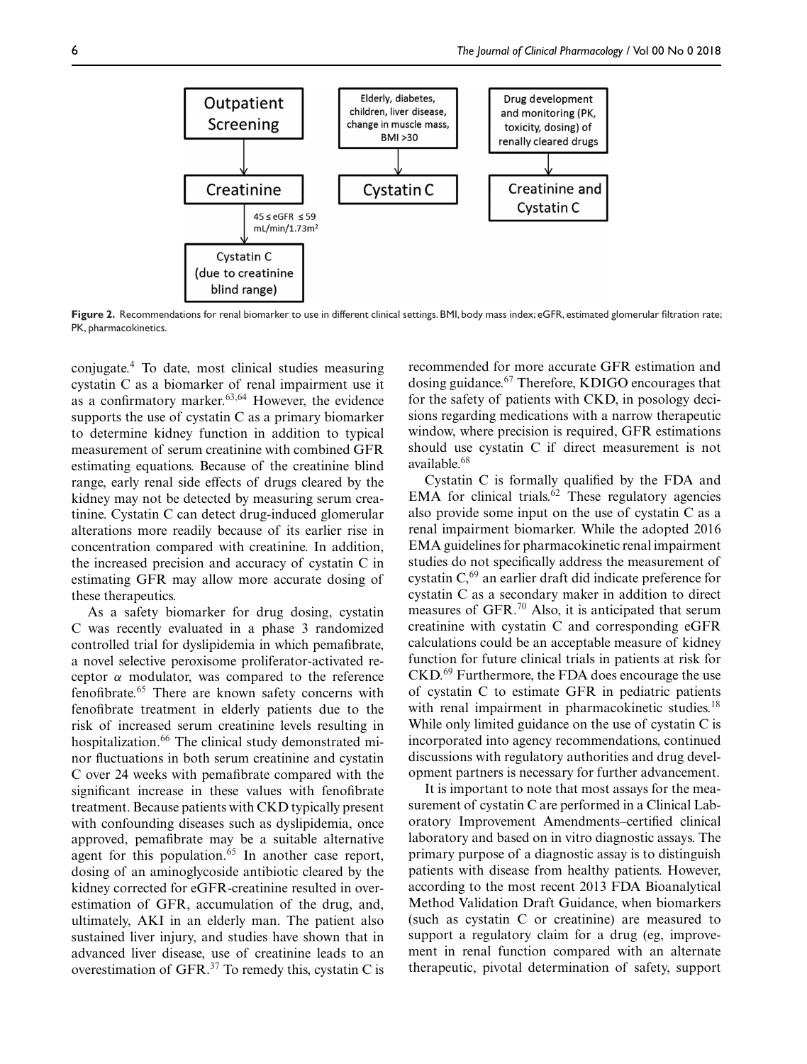

**Figure 2.** Recommendations for renal biomarker to use in different clinical settings. BMI, body mass index; eGFR, estimated glomerular filtration rate; PK, pharmacokinetics.

conjugate.<sup>4</sup> To date, most clinical studies measuring cystatin C as a biomarker of renal impairment use it as a confirmatory marker. $63,64$  However, the evidence supports the use of cystatin C as a primary biomarker to determine kidney function in addition to typical measurement of serum creatinine with combined GFR estimating equations. Because of the creatinine blind range, early renal side effects of drugs cleared by the kidney may not be detected by measuring serum creatinine. Cystatin C can detect drug-induced glomerular alterations more readily because of its earlier rise in concentration compared with creatinine. In addition, the increased precision and accuracy of cystatin C in estimating GFR may allow more accurate dosing of these therapeutics.

As a safety biomarker for drug dosing, cystatin C was recently evaluated in a phase 3 randomized controlled trial for dyslipidemia in which pemafibrate, a novel selective peroxisome proliferator-activated receptor α modulator, was compared to the reference fenofibrate.65 There are known safety concerns with fenofibrate treatment in elderly patients due to the risk of increased serum creatinine levels resulting in hospitalization.<sup>66</sup> The clinical study demonstrated minor fluctuations in both serum creatinine and cystatin C over 24 weeks with pemafibrate compared with the significant increase in these values with fenofibrate treatment. Because patients with CKD typically present with confounding diseases such as dyslipidemia, once approved, pemafibrate may be a suitable alternative agent for this population.<sup>65</sup> In another case report, dosing of an aminoglycoside antibiotic cleared by the kidney corrected for eGFR-creatinine resulted in overestimation of GFR, accumulation of the drug, and, ultimately, AKI in an elderly man. The patient also sustained liver injury, and studies have shown that in advanced liver disease, use of creatinine leads to an overestimation of GFR.37 To remedy this, cystatin C is recommended for more accurate GFR estimation and dosing guidance.<sup>67</sup> Therefore, KDIGO encourages that for the safety of patients with CKD, in posology decisions regarding medications with a narrow therapeutic window, where precision is required, GFR estimations should use cystatin C if direct measurement is not available.<sup>68</sup>

Cystatin C is formally qualified by the FDA and EMA for clinical trials. $62$  These regulatory agencies also provide some input on the use of cystatin C as a renal impairment biomarker. While the adopted 2016 EMA guidelines for pharmacokinetic renal impairment studies do not specifically address the measurement of cystatin  $C<sub>1</sub><sup>69</sup>$  an earlier draft did indicate preference for cystatin C as a secondary maker in addition to direct measures of GFR. $^{70}$  Also, it is anticipated that serum creatinine with cystatin C and corresponding eGFR calculations could be an acceptable measure of kidney function for future clinical trials in patients at risk for CKD.69 Furthermore, the FDA does encourage the use of cystatin C to estimate GFR in pediatric patients with renal impairment in pharmacokinetic studies.<sup>18</sup> While only limited guidance on the use of cystatin C is incorporated into agency recommendations, continued discussions with regulatory authorities and drug development partners is necessary for further advancement.

It is important to note that most assays for the measurement of cystatin C are performed in a Clinical Laboratory Improvement Amendments–certified clinical laboratory and based on in vitro diagnostic assays. The primary purpose of a diagnostic assay is to distinguish patients with disease from healthy patients. However, according to the most recent 2013 FDA Bioanalytical Method Validation Draft Guidance, when biomarkers (such as cystatin C or creatinine) are measured to support a regulatory claim for a drug (eg, improvement in renal function compared with an alternate therapeutic, pivotal determination of safety, support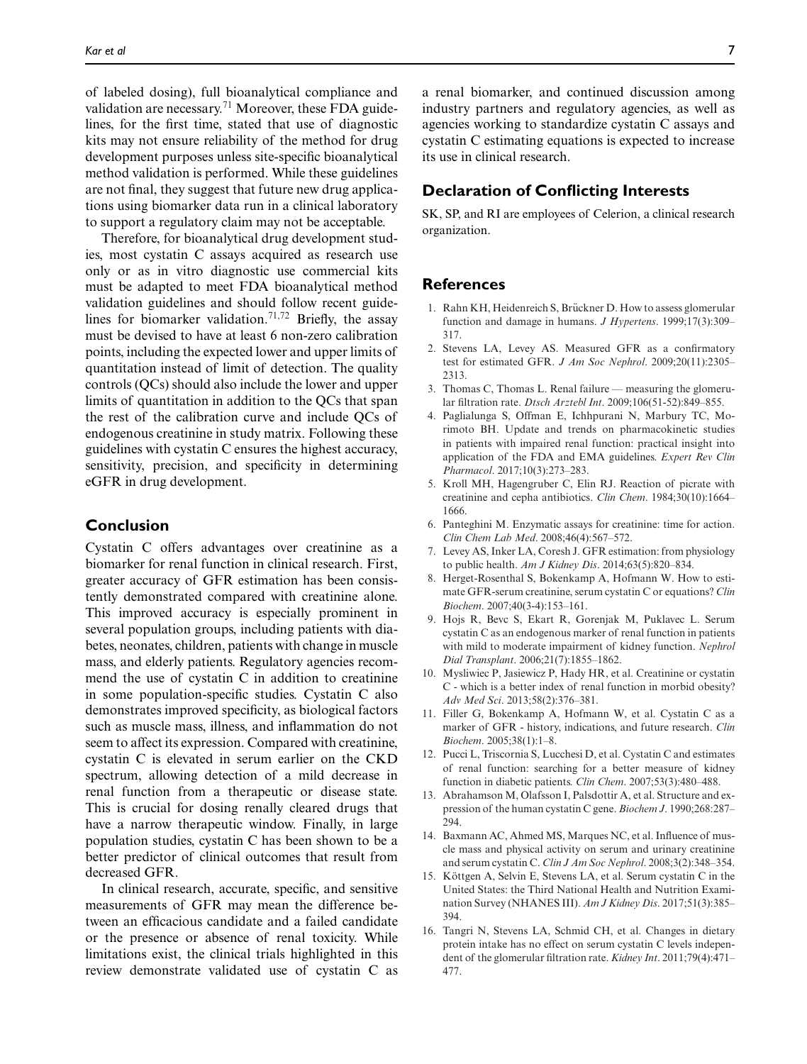of labeled dosing), full bioanalytical compliance and validation are necessary.<sup>71</sup> Moreover, these FDA guidelines, for the first time, stated that use of diagnostic kits may not ensure reliability of the method for drug development purposes unless site-specific bioanalytical method validation is performed. While these guidelines are not final, they suggest that future new drug applications using biomarker data run in a clinical laboratory to support a regulatory claim may not be acceptable.

Therefore, for bioanalytical drug development studies, most cystatin C assays acquired as research use only or as in vitro diagnostic use commercial kits must be adapted to meet FDA bioanalytical method validation guidelines and should follow recent guidelines for biomarker validation.<sup>71,72</sup> Briefly, the assay must be devised to have at least 6 non-zero calibration points, including the expected lower and upper limits of quantitation instead of limit of detection. The quality controls (QCs) should also include the lower and upper limits of quantitation in addition to the QCs that span the rest of the calibration curve and include QCs of endogenous creatinine in study matrix. Following these guidelines with cystatin C ensures the highest accuracy, sensitivity, precision, and specificity in determining eGFR in drug development.

#### **Conclusion**

Cystatin C offers advantages over creatinine as a biomarker for renal function in clinical research. First, greater accuracy of GFR estimation has been consistently demonstrated compared with creatinine alone. This improved accuracy is especially prominent in several population groups, including patients with diabetes, neonates, children, patients with change in muscle mass, and elderly patients. Regulatory agencies recommend the use of cystatin C in addition to creatinine in some population-specific studies. Cystatin C also demonstrates improved specificity, as biological factors such as muscle mass, illness, and inflammation do not seem to affect its expression. Compared with creatinine, cystatin C is elevated in serum earlier on the CKD spectrum, allowing detection of a mild decrease in renal function from a therapeutic or disease state. This is crucial for dosing renally cleared drugs that have a narrow therapeutic window. Finally, in large population studies, cystatin C has been shown to be a better predictor of clinical outcomes that result from decreased GFR.

In clinical research, accurate, specific, and sensitive measurements of GFR may mean the difference between an efficacious candidate and a failed candidate or the presence or absence of renal toxicity. While limitations exist, the clinical trials highlighted in this review demonstrate validated use of cystatin C as a renal biomarker, and continued discussion among industry partners and regulatory agencies, as well as agencies working to standardize cystatin C assays and cystatin C estimating equations is expected to increase its use in clinical research.

#### **Declaration of Conflicting Interests**

SK, SP, and RI are employees of Celerion, a clinical research organization.

#### **References**

- 1. Rahn KH, Heidenreich S, Brückner D. How to assess glomerular function and damage in humans. *J Hypertens*. 1999;17(3):309– 317.
- 2. Stevens LA, Levey AS. Measured GFR as a confirmatory test for estimated GFR. *J Am Soc Nephrol*. 2009;20(11):2305– 2313.
- 3. Thomas C, Thomas L. Renal failure measuring the glomerular filtration rate. *Dtsch Arztebl Int*. 2009;106(51-52):849–855.
- 4. Paglialunga S, Offman E, Ichhpurani N, Marbury TC, Morimoto BH. Update and trends on pharmacokinetic studies in patients with impaired renal function: practical insight into application of the FDA and EMA guidelines. *Expert Rev Clin Pharmacol*. 2017;10(3):273–283.
- 5. Kroll MH, Hagengruber C, Elin RJ. Reaction of picrate with creatinine and cepha antibiotics. *Clin Chem*. 1984;30(10):1664– 1666.
- 6. Panteghini M. Enzymatic assays for creatinine: time for action. *Clin Chem Lab Med*. 2008;46(4):567–572.
- 7. Levey AS, Inker LA, Coresh J. GFR estimation: from physiology to public health. *Am J Kidney Dis*. 2014;63(5):820–834.
- 8. Herget-Rosenthal S, Bokenkamp A, Hofmann W. How to estimate GFR-serum creatinine, serum cystatin C or equations? *Clin Biochem*. 2007;40(3-4):153–161.
- 9. Hojs R, Bevc S, Ekart R, Gorenjak M, Puklavec L. Serum cystatin C as an endogenous marker of renal function in patients with mild to moderate impairment of kidney function. *Nephrol Dial Transplant*. 2006;21(7):1855–1862.
- 10. Mysliwiec P, Jasiewicz P, Hady HR, et al. Creatinine or cystatin C - which is a better index of renal function in morbid obesity? *Adv Med Sci*. 2013;58(2):376–381.
- 11. Filler G, Bokenkamp A, Hofmann W, et al. Cystatin C as a marker of GFR - history, indications, and future research. *Clin Biochem*. 2005;38(1):1–8.
- 12. Pucci L, Triscornia S, Lucchesi D, et al. Cystatin C and estimates of renal function: searching for a better measure of kidney function in diabetic patients. *Clin Chem*. 2007;53(3):480–488.
- 13. Abrahamson M, Olafsson I, Palsdottir A, et al. Structure and expression of the human cystatin C gene. *Biochem J*. 1990;268:287– 294.
- 14. Baxmann AC, Ahmed MS, Marques NC, et al. Influence of muscle mass and physical activity on serum and urinary creatinine and serum cystatin C. *Clin J Am Soc Nephrol*. 2008;3(2):348–354.
- 15. Köttgen A, Selvin E, Stevens LA, et al. Serum cystatin C in the United States: the Third National Health and Nutrition Examination Survey (NHANES III). *Am J Kidney Dis*. 2017;51(3):385– 394.
- 16. Tangri N, Stevens LA, Schmid CH, et al. Changes in dietary protein intake has no effect on serum cystatin C levels independent of the glomerular filtration rate. *Kidney Int*. 2011;79(4):471– 477.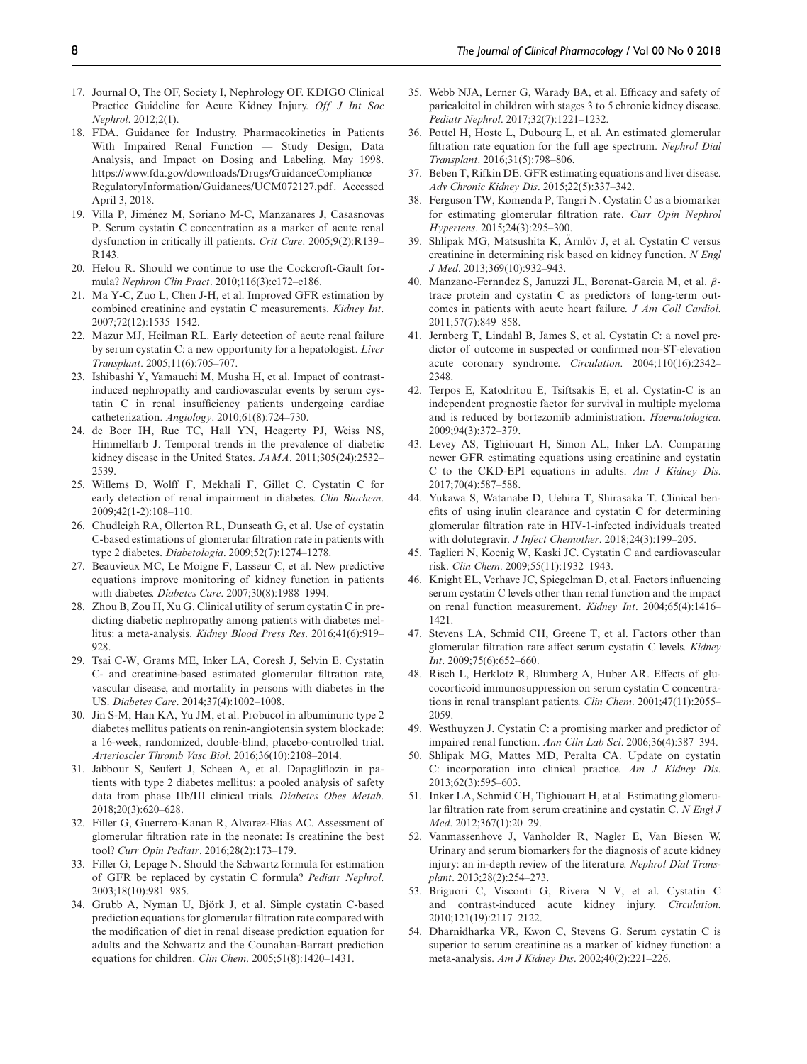- 17. Journal O, The OF, Society I, Nephrology OF. KDIGO Clinical Practice Guideline for Acute Kidney Injury. *Off J Int Soc Nephrol*. 2012;2(1).
- 18. FDA. Guidance for Industry. Pharmacokinetics in Patients With Impaired Renal Function — Study Design, Data Analysis, and Impact on Dosing and Labeling. May 1998. https://www.fda.gov/downloads/Drugs/GuidanceCompliance RegulatoryInformation/Guidances/UCM072127.pdf. Accessed April 3, 2018.
- 19. Villa P, Jimenez M, Soriano M-C, Manzanares J, Casasnovas ´ P. Serum cystatin C concentration as a marker of acute renal dysfunction in critically ill patients. *Crit Care*. 2005;9(2):R139– R143.
- 20. Helou R. Should we continue to use the Cockcroft-Gault formula? *Nephron Clin Pract*. 2010;116(3):c172–c186.
- 21. Ma Y-C, Zuo L, Chen J-H, et al. Improved GFR estimation by combined creatinine and cystatin C measurements. *Kidney Int*. 2007;72(12):1535–1542.
- 22. Mazur MJ, Heilman RL. Early detection of acute renal failure by serum cystatin C: a new opportunity for a hepatologist. *Liver Transplant*. 2005;11(6):705–707.
- 23. Ishibashi Y, Yamauchi M, Musha H, et al. Impact of contrastinduced nephropathy and cardiovascular events by serum cystatin C in renal insufficiency patients undergoing cardiac catheterization. *Angiology*. 2010;61(8):724–730.
- 24. de Boer IH, Rue TC, Hall YN, Heagerty PJ, Weiss NS, Himmelfarb J. Temporal trends in the prevalence of diabetic kidney disease in the United States. *JAMA*. 2011;305(24):2532– 2539.
- 25. Willems D, Wolff F, Mekhali F, Gillet C. Cystatin C for early detection of renal impairment in diabetes. *Clin Biochem*. 2009;42(1-2):108–110.
- 26. Chudleigh RA, Ollerton RL, Dunseath G, et al. Use of cystatin C-based estimations of glomerular filtration rate in patients with type 2 diabetes. *Diabetologia*. 2009;52(7):1274–1278.
- 27. Beauvieux MC, Le Moigne F, Lasseur C, et al. New predictive equations improve monitoring of kidney function in patients with diabetes. *Diabetes Care*. 2007;30(8):1988–1994.
- 28. Zhou B, Zou H, Xu G. Clinical utility of serum cystatin C in predicting diabetic nephropathy among patients with diabetes mellitus: a meta-analysis. *Kidney Blood Press Res*. 2016;41(6):919– 928.
- 29. Tsai C-W, Grams ME, Inker LA, Coresh J, Selvin E. Cystatin C- and creatinine-based estimated glomerular filtration rate, vascular disease, and mortality in persons with diabetes in the US. *Diabetes Care*. 2014;37(4):1002–1008.
- 30. Jin S-M, Han KA, Yu JM, et al. Probucol in albuminuric type 2 diabetes mellitus patients on renin-angiotensin system blockade: a 16-week, randomized, double-blind, placebo-controlled trial. *Arterioscler Thromb Vasc Biol*. 2016;36(10):2108–2014.
- 31. Jabbour S, Seufert J, Scheen A, et al. Dapagliflozin in patients with type 2 diabetes mellitus: a pooled analysis of safety data from phase IIb/III clinical trials. *Diabetes Obes Metab*. 2018;20(3):620–628.
- 32. Filler G, Guerrero-Kanan R, Alvarez-Elías AC. Assessment of glomerular filtration rate in the neonate: Is creatinine the best tool? *Curr Opin Pediatr*. 2016;28(2):173–179.
- 33. Filler G, Lepage N. Should the Schwartz formula for estimation of GFR be replaced by cystatin C formula? *Pediatr Nephrol*. 2003;18(10):981–985.
- 34. Grubb A, Nyman U, Bjork J, et al. Simple cystatin C-based ¨ prediction equations for glomerular filtration rate compared with the modification of diet in renal disease prediction equation for adults and the Schwartz and the Counahan-Barratt prediction equations for children. *Clin Chem*. 2005;51(8):1420–1431.
- 35. Webb NJA, Lerner G, Warady BA, et al. Efficacy and safety of paricalcitol in children with stages 3 to 5 chronic kidney disease. *Pediatr Nephrol*. 2017;32(7):1221–1232.
- 36. Pottel H, Hoste L, Dubourg L, et al. An estimated glomerular filtration rate equation for the full age spectrum. *Nephrol Dial Transplant*. 2016;31(5):798–806.
- 37. Beben T, Rifkin DE. GFR estimating equations and liver disease. *Adv Chronic Kidney Dis*. 2015;22(5):337–342.
- 38. Ferguson TW, Komenda P, Tangri N. Cystatin C as a biomarker for estimating glomerular filtration rate. *Curr Opin Nephrol Hypertens*. 2015;24(3):295–300.
- 39. Shlipak MG, Matsushita K, Arnlöv J, et al. Cystatin C versus creatinine in determining risk based on kidney function. *N Engl J Med*. 2013;369(10):932–943.
- 40. Manzano-Fernndez S, Januzzi JL, Boronat-Garcia M, et al. βtrace protein and cystatin C as predictors of long-term outcomes in patients with acute heart failure. *J Am Coll Cardiol*. 2011;57(7):849–858.
- 41. Jernberg T, Lindahl B, James S, et al. Cystatin C: a novel predictor of outcome in suspected or confirmed non-ST-elevation acute coronary syndrome. *Circulation*. 2004;110(16):2342– 2348.
- 42. Terpos E, Katodritou E, Tsiftsakis E, et al. Cystatin-C is an independent prognostic factor for survival in multiple myeloma and is reduced by bortezomib administration. *Haematologica*. 2009;94(3):372–379.
- 43. Levey AS, Tighiouart H, Simon AL, Inker LA. Comparing newer GFR estimating equations using creatinine and cystatin C to the CKD-EPI equations in adults. *Am J Kidney Dis*. 2017;70(4):587–588.
- 44. Yukawa S, Watanabe D, Uehira T, Shirasaka T. Clinical benefits of using inulin clearance and cystatin C for determining glomerular filtration rate in HIV-1-infected individuals treated with dolutegravir. *J Infect Chemother*. 2018;24(3):199–205.
- 45. Taglieri N, Koenig W, Kaski JC. Cystatin C and cardiovascular risk. *Clin Chem*. 2009;55(11):1932–1943.
- 46. Knight EL, Verhave JC, Spiegelman D, et al. Factors influencing serum cystatin C levels other than renal function and the impact on renal function measurement. *Kidney Int*. 2004;65(4):1416– 1421.
- 47. Stevens LA, Schmid CH, Greene T, et al. Factors other than glomerular filtration rate affect serum cystatin C levels. *Kidney Int*. 2009;75(6):652–660.
- 48. Risch L, Herklotz R, Blumberg A, Huber AR. Effects of glucocorticoid immunosuppression on serum cystatin C concentrations in renal transplant patients. *Clin Chem*. 2001;47(11):2055– 2059.
- 49. Westhuyzen J. Cystatin C: a promising marker and predictor of impaired renal function. *Ann Clin Lab Sci*. 2006;36(4):387–394.
- 50. Shlipak MG, Mattes MD, Peralta CA. Update on cystatin C: incorporation into clinical practice. *Am J Kidney Dis*. 2013;62(3):595–603.
- 51. Inker LA, Schmid CH, Tighiouart H, et al. Estimating glomerular filtration rate from serum creatinine and cystatin C. *N Engl J Med*. 2012;367(1):20–29.
- 52. Vanmassenhove J, Vanholder R, Nagler E, Van Biesen W. Urinary and serum biomarkers for the diagnosis of acute kidney injury: an in-depth review of the literature. *Nephrol Dial Transplant*. 2013;28(2):254–273.
- 53. Briguori C, Visconti G, Rivera N V, et al. Cystatin C and contrast-induced acute kidney injury. *Circulation*. 2010;121(19):2117–2122.
- 54. Dharnidharka VR, Kwon C, Stevens G. Serum cystatin C is superior to serum creatinine as a marker of kidney function: a meta-analysis. *Am J Kidney Dis*. 2002;40(2):221–226.